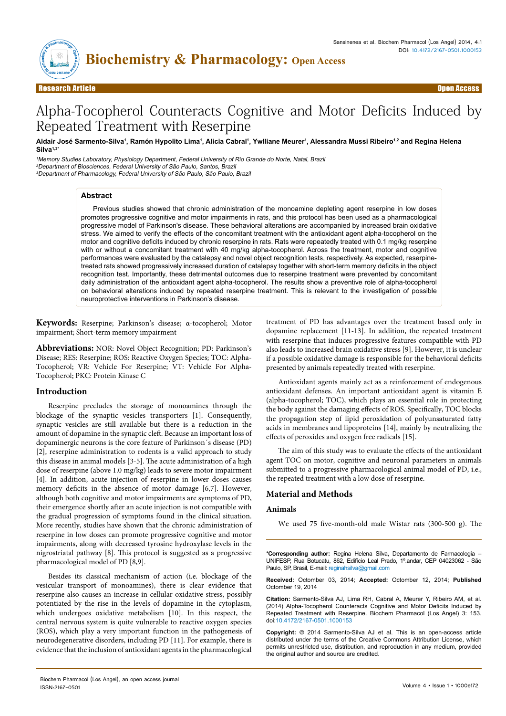

Research Article Open Access

# Alpha-Tocopherol Counteracts Cognitive and Motor Deficits Induced by Repeated Treatment with Reserpine

Aldair José Sarmento-Silva<sup>1</sup>, Ramón Hypolito Lima<sup>1</sup>, Alicia Cabral<sup>1</sup>, Ywlliane Meurer<sup>1</sup>, Alessandra Mussi Ribeiro<sup>1,2</sup> and Regina Helena **Silva1,3\***

<sup>1</sup>Memory Studies Laboratory, Physiology Department, Federal University of Rio Grande do Norte, Natal, Brazil <sup>2</sup>Department of Biosciences, Federal University of São Paulo, Santos, Brazil <sup>3</sup>Department of Pharmacology, Federal University of São Paulo, São Paulo, Brazil

# **Abstract**

Previous studies showed that chronic administration of the monoamine depleting agent reserpine in low doses promotes progressive cognitive and motor impairments in rats, and this protocol has been used as a pharmacological progressive model of Parkinson's disease. These behavioral alterations are accompanied by increased brain oxidative stress. We aimed to verify the effects of the concomitant treatment with the antioxidant agent alpha-tocopherol on the motor and cognitive deficits induced by chronic reserpine in rats. Rats were repeatedly treated with 0.1 mg/kg reserpine with or without a concomitant treatment with 40 mg/kg alpha-tocopherol. Across the treatment, motor and cognitive performances were evaluated by the catalepsy and novel object recognition tests, respectively. As expected, reserpinetreated rats showed progressively increased duration of catalepsy together with short-term memory deficits in the object recognition test. Importantly, these detrimental outcomes due to reserpine treatment were prevented by concomitant daily administration of the antioxidant agent alpha-tocopherol. The results show a preventive role of alpha-tocopherol on behavioral alterations induced by repeated reserpine treatment. This is relevant to the investigation of possible neuroprotective interventions in Parkinson's disease.

**Keywords:** Reserpine; Parkinson's disease; α-tocopherol; Motor impairment; Short-term memory impairment

**Abbreviations:** NOR: Novel Object Recognition; PD: Parkinson's Disease; RES: Reserpine; ROS: Reactive Oxygen Species; TOC: Alpha-Tocopherol; VR: Vehicle For Reserpine; VT: Vehicle For Alpha-Tocopherol; PKC: Protein Kinase C

# **Introduction**

Reserpine precludes the storage of monoamines through the blockage of the synaptic vesicles transporters [1]. Consequently, synaptic vesicles are still available but there is a reduction in the amount of dopamine in the synaptic cleft. Because an important loss of dopaminergic neurons is the core feature of Parkinson´s disease (PD) [2], reserpine administration to rodents is a valid approach to study this disease in animal models [3-5]. The acute administration of a high dose of reserpine (above 1.0 mg/kg) leads to severe motor impairment [4]. In addition, acute injection of reserpine in lower doses causes memory deficits in the absence of motor damage [6,7]. However, although both cognitive and motor impairments are symptoms of PD, their emergence shortly after an acute injection is not compatible with the gradual progression of symptoms found in the clinical situation. More recently, studies have shown that the chronic administration of reserpine in low doses can promote progressive cognitive and motor impairments, along with decreased tyrosine hydroxylase levels in the nigrostriatal pathway [8]. This protocol is suggested as a progressive pharmacological model of PD [8,9].

Besides its classical mechanism of action (i.e. blockage of the vesicular transport of monoamines), there is clear evidence that reserpine also causes an increase in cellular oxidative stress, possibly potentiated by the rise in the levels of dopamine in the cytoplasm, which undergoes oxidative metabolism [10]. In this respect, the central nervous system is quite vulnerable to reactive oxygen species (ROS), which play a very important function in the pathogenesis of neurodegenerative disorders, including PD [11]. For example, there is evidence that the inclusion of antioxidant agents in the pharmacological

treatment of PD has advantages over the treatment based only in dopamine replacement [11-13]. In addition, the repeated treatment with reserpine that induces progressive features compatible with PD also leads to increased brain oxidative stress [9]. However, it is unclear if a possible oxidative damage is responsible for the behavioral deficits presented by animals repeatedly treated with reserpine.

Antioxidant agents mainly act as a reinforcement of endogenous antioxidant defenses. An important antioxidant agent is vitamin E (alpha-tocopherol; TOC), which plays an essential role in protecting the body against the damaging effects of ROS. Specifically, TOC blocks the propagation step of lipid peroxidation of polyunsaturated fatty acids in membranes and lipoproteins [14], mainly by neutralizing the effects of peroxides and oxygen free radicals [15].

The aim of this study was to evaluate the effects of the antioxidant agent TOC on motor, cognitive and neuronal parameters in animals submitted to a progressive pharmacological animal model of PD, i.e., the repeated treatment with a low dose of reserpine.

# **Material and Methods**

# **Animals**

We used 75 five-month-old male Wistar rats (300-500 g). The

**\*Corresponding author:** Regina Helena Silva, Departamento de Farmacologia – UNIFESP, Rua Botucatu, 862, Edifício Leal Prado, 1º.andar, CEP 04023062 - São Paulo, SP, Brasil, E-mail: reginahsilva@gmail.com

**Received:** Octomber 03, 2014; **Accepted:** Octomber 12, 2014; **Published** Octomber 19, 2014

**Citation:** Sarmento-Silva AJ, Lima RH, Cabral A, Meurer Y, Ribeiro AM, et al. (2014) Alpha-Tocopherol Counteracts Cognitive and Motor Deficits Induced by Repeated Treatment with Reserpine. Biochem Pharmacol (Los Angel) 3: 153. doi:10.4172/2167-0501.1000153

**Copyright:** © 2014 Sarmento-Silva AJ et al. This is an open-access article distributed under the terms of the Creative Commons Attribution License, which permits unrestricted use, distribution, and reproduction in any medium, provided the original author and source are credited.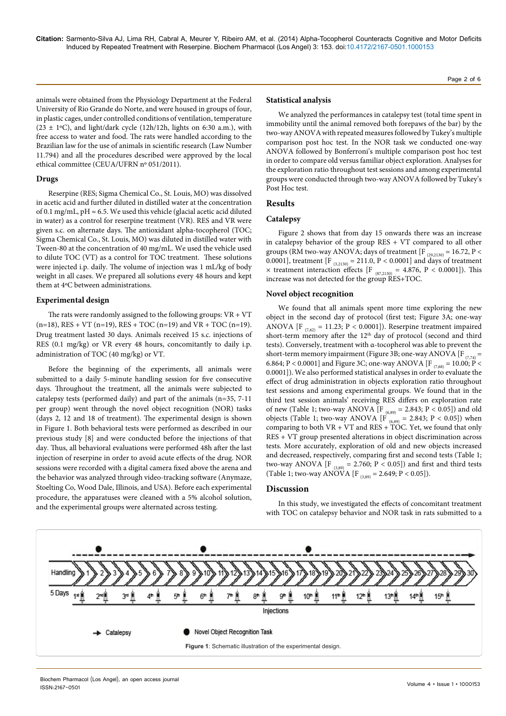Page 2 of 6

animals were obtained from the Physiology Department at the Federal University of Rio Grande do Norte, and were housed in groups of four, in plastic cages, under controlled conditions of ventilation, temperature  $(23 \pm 1\degree C)$ , and light/dark cycle  $(12h/12h)$ , lights on 6:30 a.m.), with free access to water and food. The rats were handled according to the Brazilian law for the use of animals in scientific research (Law Number 11.794) and all the procedures described were approved by the local ethical committee (CEUA/UFRN nº 051/2011).

# **Drugs**

Reserpine (RES; Sigma Chemical Co., St. Louis, MO) was dissolved in acetic acid and further diluted in distilled water at the concentration of 0.1 mg/mL, pH  $\approx$  6.5. We used this vehicle (glacial acetic acid diluted in water) as a control for reserpine treatment (VR). RES and VR were given s.c. on alternate days. The antioxidant alpha-tocopherol (TOC; Sigma Chemical Co., St. Louis, MO) was diluted in distilled water with Tween-80 at the concentration of 40 mg/mL. We used the vehicle used to dilute TOC (VT) as a control for TOC treatment. These solutions were injected i.p. daily. The volume of injection was 1 mL/kg of body weight in all cases. We prepared all solutions every 48 hours and kept them at 4ºC between administrations.

## **Experimental design**

The rats were randomly assigned to the following groups:  $VR + VT$  $(n=18)$ , RES + VT  $(n=19)$ , RES + TOC  $(n=19)$  and VR + TOC  $(n=19)$ . Drug treatment lasted 30 days. Animals received 15 s.c. injections of RES (0.1 mg/kg) or VR every 48 hours, concomitantly to daily i.p. administration of TOC (40 mg/kg) or VT.

Before the beginning of the experiments, all animals were submitted to a daily 5-minute handling session for five consecutive days. Throughout the treatment, all the animals were subjected to catalepsy tests (performed daily) and part of the animals (n=35, 7-11 per group) went through the novel object recognition (NOR) tasks (days 2, 12 and 18 of treatment). The experimental design is shown in Figure 1. Both behavioral tests were performed as described in our previous study [8] and were conducted before the injections of that day. Thus, all behavioral evaluations were performed 48h after the last injection of reserpine in order to avoid acute effects of the drug. NOR sessions were recorded with a digital camera fixed above the arena and the behavior was analyzed through video-tracking software (Anymaze, Stoelting Co, Wood Dale, Illinois, and USA). Before each experimental procedure, the apparatuses were cleaned with a 5% alcohol solution, and the experimental groups were alternated across testing.

## **Statistical analysis**

We analyzed the performances in catalepsy test (total time spent in immobility until the animal removed both forepaws of the bar) by the two-way ANOVA with repeated measures followed by Tukey's multiple comparison post hoc test. In the NOR task we conducted one-way ANOVA followed by Bonferroni's multiple comparison post hoc test in order to compare old versus familiar object exploration. Analyses for the exploration ratio throughout test sessions and among experimental groups were conducted through two-way ANOVA followed by Tukey's Post Hoc test.

# **Results**

# **Catalepsy**

Figure 2 shows that from day 15 onwards there was an increase in catalepsy behavior of the group RES + VT compared to all other groups (RM two-way ANOVA; days of treatment [F  $_{(29,2130)} = 16.72$ , P < 0.0001], treatment [F  $_{(3,2130)} = 211.0, P < 0.0001$ ] and days of treatment  $\times$  treatment interaction effects [F  $_{(87,2130)}$  = 4.876, P < 0.0001]). This increase was not detected for the group RES+TOC.

# **Novel object recognition**

We found that all animals spent more time exploring the new object in the second day of protocol (first test; Figure 3A; one-way ANOVA [F  $_{(7,62)}$  = 11.23; P < 0.0001]). Reserpine treatment impaired short-term memory after the 12<sup>th</sup> day of protocol (second and third tests). Conversely, treatment with α-tocopherol was able to prevent the short-term memory impairment (Figure 3B; one-way ANOVA [F $_{(774)}$  = 6.864; P < 0.0001] and Figure 3C; one-way ANOVA [F  $_{(7,68)}$  = 10.00; P < 0.0001]). We also performed statistical analyses in order to evaluate the effect of drug administration in objects exploration ratio throughout test sessions and among experimental groups. We found that in the third test session animals' receiving RES differs on exploration rate of new (Table 1; two-way ANOVA [F  $_{(6,89)} = 2.843; P < 0.05$ ]) and old objects (Table 1; two-way ANOVA [F  $_{(6,89)} = 2.843$ ; P < 0.05]) when comparing to both VR + VT and RES + TOC. Yet, we found that only RES + VT group presented alterations in object discrimination across tests. More accurately, exploration of old and new objects increased and decreased, respectively, comparing first and second tests (Table 1; two-way ANOVA [F  $_{(3,89)}$  = 2.760; P < 0.05]) and first and third tests (Table 1; two-way ANOVA [F  $_{(3,89)}$  = 2.649; P < 0.05]).

# **Discussion**

In this study, we investigated the effects of concomitant treatment with TOC on catalepsy behavior and NOR task in rats submitted to a

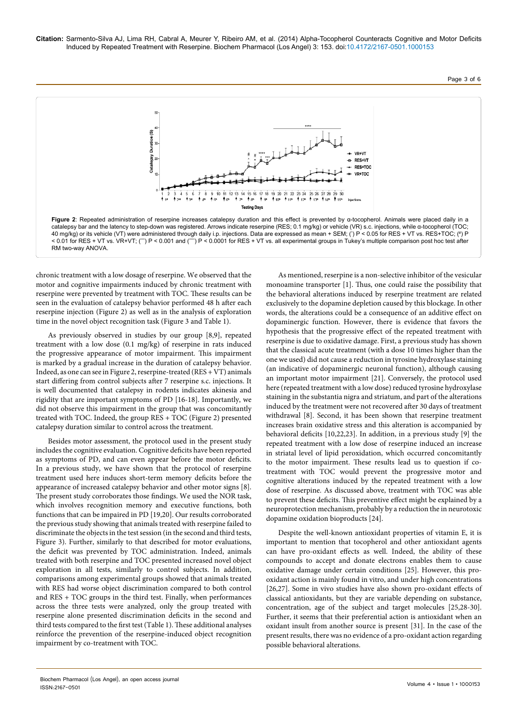



chronic treatment with a low dosage of reserpine. We observed that the motor and cognitive impairments induced by chronic treatment with reserpine were prevented by treatment with TOC. These results can be seen in the evaluation of catalepsy behavior performed 48 h after each reserpine injection (Figure 2) as well as in the analysis of exploration time in the novel object recognition task (Figure 3 and Table 1).

As previously observed in studies by our group [8,9], repeated treatment with a low dose (0.1 mg/kg) of reserpine in rats induced the progressive appearance of motor impairment. This impairment is marked by a gradual increase in the duration of catalepsy behavior. Indeed, as one can see in Figure 2, reserpine-treated (RES + VT) animals start differing from control subjects after 7 reserpine s.c. injections. It is well documented that catalepsy in rodents indicates akinesia and rigidity that are important symptoms of PD [16-18]. Importantly, we did not observe this impairment in the group that was concomitantly treated with TOC. Indeed, the group RES + TOC (Figure 2) presented catalepsy duration similar to control across the treatment.

Besides motor assessment, the protocol used in the present study includes the cognitive evaluation. Cognitive deficits have been reported as symptoms of PD, and can even appear before the motor deficits. In a previous study, we have shown that the protocol of reserpine treatment used here induces short-term memory deficits before the appearance of increased catalepsy behavior and other motor signs [8]. The present study corroborates those findings. We used the NOR task, which involves recognition memory and executive functions, both functions that can be impaired in PD [19,20]. Our results corroborated the previous study showing that animals treated with reserpine failed to discriminate the objects in the test session (in the second and third tests, Figure 3). Further, similarly to that described for motor evaluations, the deficit was prevented by TOC administration. Indeed, animals treated with both reserpine and TOC presented increased novel object exploration in all tests, similarly to control subjects. In addition, comparisons among experimental groups showed that animals treated with RES had worse object discrimination compared to both control and RES + TOC groups in the third test. Finally, when performances across the three tests were analyzed, only the group treated with reserpine alone presented discrimination deficits in the second and third tests compared to the first test (Table 1). These additional analyses reinforce the prevention of the reserpine-induced object recognition impairment by co-treatment with TOC.

As mentioned, reserpine is a non-selective inhibitor of the vesicular monoamine transporter [1]. Thus, one could raise the possibility that the behavioral alterations induced by reserpine treatment are related exclusively to the dopamine depletion caused by this blockage. In other words, the alterations could be a consequence of an additive effect on dopaminergic function. However, there is evidence that favors the hypothesis that the progressive effect of the repeated treatment with reserpine is due to oxidative damage. First, a previous study has shown that the classical acute treatment (with a dose 10 times higher than the one we used) did not cause a reduction in tyrosine hydroxylase staining (an indicative of dopaminergic neuronal function), although causing an important motor impairment [21]. Conversely, the protocol used here (repeated treatment with a low dose) reduced tyrosine hydroxylase staining in the substantia nigra and striatum, and part of the alterations induced by the treatment were not recovered after 30 days of treatment withdrawal [8]. Second, it has been shown that reserpine treatment increases brain oxidative stress and this alteration is accompanied by behavioral deficits [10,22,23]. In addition, in a previous study [9] the repeated treatment with a low dose of reserpine induced an increase in striatal level of lipid peroxidation, which occurred concomitantly to the motor impairment. These results lead us to question if cotreatment with TOC would prevent the progressive motor and cognitive alterations induced by the repeated treatment with a low dose of reserpine. As discussed above, treatment with TOC was able to prevent these deficits. This preventive effect might be explained by a neuroprotection mechanism, probably by a reduction the in neurotoxic dopamine oxidation bioproducts [24].

Despite the well-known antioxidant properties of vitamin E, it is important to mention that tocopherol and other antioxidant agents can have pro-oxidant effects as well. Indeed, the ability of these compounds to accept and donate electrons enables them to cause oxidative damage under certain conditions [25]. However, this prooxidant action is mainly found in vitro, and under high concentrations [26,27]. Some in vivo studies have also shown pro-oxidant effects of classical antioxidants, but they are variable depending on substance, concentration, age of the subject and target molecules [25,28-30]. Further, it seems that their preferential action is antioxidant when an oxidant insult from another source is present [31]. In the case of the present results, there was no evidence of a pro-oxidant action regarding possible behavioral alterations.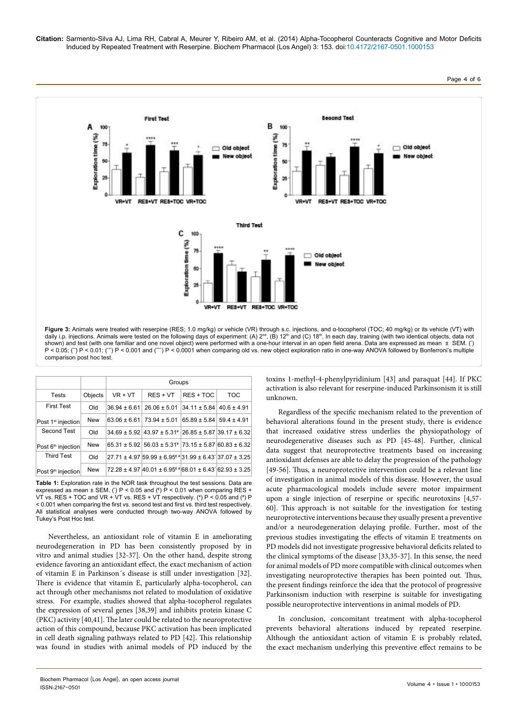

|                                |            | Groups           |                                                                                                       |             |            |
|--------------------------------|------------|------------------|-------------------------------------------------------------------------------------------------------|-------------|------------|
| <b>Tests</b>                   | Objects    | $VR + VT$        | $RES + VT$                                                                                            | $RES + TOC$ | <b>TOC</b> |
| <b>First Test</b>              | Old        | $36.94 \pm 6.61$ | $26.06 \pm 5.01$ 34.11 $\pm$ 5.84 40.6 $\pm$ 4.91                                                     |             |            |
| Post 1 <sup>st</sup> injection | <b>New</b> | $63.06 \pm 6.61$ | 73.94 ± 5.01 65.89 ± 5.84 59.4 ± 4.91                                                                 |             |            |
| Second Test                    | Old        |                  | $34.69 \pm 5.92$ 43.97 $\pm 5.31$ 26.85 $\pm 5.87$ 39.17 $\pm 6.32$                                   |             |            |
| Post 6 <sup>th</sup> injection | <b>New</b> |                  | $65.31 \pm 5.92$ 56.03 $\pm 5.31$ 73.15 $\pm 5.87$ 60.83 $\pm 6.32$                                   |             |            |
| <b>Third Test</b>              | Old        |                  | $27.71 \pm 4.97$ 59.99 $\pm 6.95$ <sup><math>\epsilon</math></sup> #31.99 $\pm 6.43$ 37.07 $\pm 3.25$ |             |            |
| Post 9 <sup>th</sup> injection | <b>New</b> |                  | $72.28 \pm 4.97$ 40.01 $\pm$ 6.95 <sup><math>\epsilon</math>#</sup> 68.01 $\pm$ 6.43 62.93 $\pm$ 3.25 |             |            |

**Table 1:** Exploration rate in the NOR task throughout the test sessions. Data are expressed as mean  $\pm$  SEM. (\*) P < 0.05 and ( $\epsilon$ ) P < 0.01 when comparing RES + VT vs. RES + TOC and VR + VT vs. RES + VT respectively.  $(*)$  P < 0.05 and  $(*)$  P < 0.001 when comparing the first vs. second test and first vs. third test respectively. All statistical analyses were conducted through two-way ANOVA followed by Tukey's Post Hoc test.

Nevertheless, an antioxidant role of vitamin E in ameliorating neurodegeneration in PD has been consistently proposed by in vitro and animal studies [32-37]. On the other hand, despite strong evidence favoring an antioxidant effect, the exact mechanism of action of vitamin E in Parkinson´s disease is still under investigation [32]. There is evidence that vitamin E, particularly alpha-tocopherol, can act through other mechanisms not related to modulation of oxidative stress. For example, studies showed that alpha-tocopherol regulates the expression of several genes [38,39] and inhibits protein kinase C (PKC) activity [40,41]. The later could be related to the neuroprotective action of this compound, because PKC activation has been implicated in cell death signaling pathways related to PD [42]. This relationship was found in studies with animal models of PD induced by the

toxins 1-methyl-4-phenylpyridinium [43] and paraquat [44]. If PKC activation is also relevant for reserpine-induced Parkinsonism it is still unknown.

Regardless of the specific mechanism related to the prevention of behavioral alterations found in the present study, there is evidence that increased oxidative stress underlies the physiopathology of neurodegenerative diseases such as PD [45-48]. Further, clinical data suggest that neuroprotective treatments based on increasing antioxidant defenses are able to delay the progression of the pathology [49-56]. Thus, a neuroprotective intervention could be a relevant line of investigation in animal models of this disease. However, the usual acute pharmacological models include severe motor impairment upon a single injection of reserpine or specific neurotoxins [4,57- 60]. This approach is not suitable for the investigation for testing neuroprotective interventions because they usually present a preventive and/or a neurodegeneration delaying profile. Further, most of the previous studies investigating the effects of vitamin E treatments on PD models did not investigate progressive behavioral deficits related to the clinical symptoms of the disease [33,35-37]. In this sense, the need for animal models of PD more compatible with clinical outcomes when investigating neuroprotective therapies has been pointed out. Thus, the present findings reinforce the idea that the protocol of progressive Parkinsonism induction with reserpine is suitable for investigating possible neuroprotective interventions in animal models of PD.

In conclusion, concomitant treatment with alpha-tocopherol prevents behavioral alterations induced by repeated reserpine. Although the antioxidant action of vitamin E is probably related, the exact mechanism underlying this preventive effect remains to be

Volume 4 • Issue 1 • 1000153 Biochem Pharmacol (Los Angel), an open access journal

ISSN:2167-0501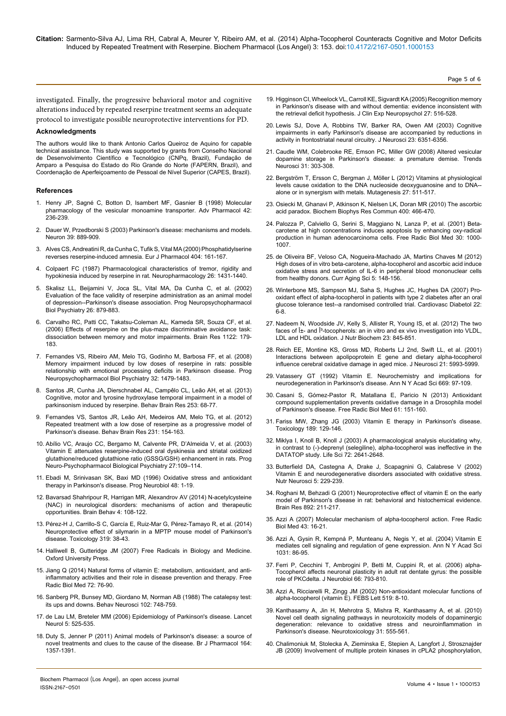investigated. Finally, the progressive behavioral motor and cognitive alterations induced by repeated reserpine treatment seems an adequate protocol to investigate possible neuroprotective interventions for PD.

#### **Acknowledgments**

The authors would like to thank Antonio Carlos Queiroz de Aquino for capable technical assistance. This study was supported by grants from Conselho Nacional de Desenvolvimento Científico e Tecnológico (CNPq, Brazil), Fundação de Amparo a Pesquisa do Estado do Rio Grande do Norte (FAPERN, Brazil), and Coordenação de Aperfeiçoamento de Pessoal de Nível Superior (CAPES, Brazil).

#### **References**

- 1. [Henry JP, Sagné C, Botton D, Isambert MF, Gasnier B \(1998\) Molecular](http://www.ncbi.nlm.nih.gov/pubmed/9327887) [pharmacology of the vesicular monoamine transporter. Adv Pharmacol 42:](http://www.ncbi.nlm.nih.gov/pubmed/9327887) [236-239.](http://www.ncbi.nlm.nih.gov/pubmed/9327887)
- 2. [Dauer W, Przedborski S \(2003\) Parkinson's disease: mechanisms and models.](http://www.ncbi.nlm.nih.gov/pubmed/12971891) [Neuron 39: 889-909.](http://www.ncbi.nlm.nih.gov/pubmed/12971891)
- 3. [Alves CS, Andreatini R, da Cunha C, Tufik S, Vital MA \(2000\) Phosphatidylserine](http://www.ncbi.nlm.nih.gov/pubmed/10980275) [reverses reserpine-induced amnesia. Eur J Pharmacol 404: 161-167.](http://www.ncbi.nlm.nih.gov/pubmed/10980275)
- 4. [Colpaert FC \(1987\) Pharmacological characteristics of tremor, rigidity and](http://www.ncbi.nlm.nih.gov/pubmed/3670563) [hypokinesia induced by reserpine in rat. Neuropharmacology 26: 1431-1440.](http://www.ncbi.nlm.nih.gov/pubmed/3670563)
- 5. [Skalisz LL, Beijamini V, Joca SL, Vital MA, Da Cunha C, et al. \(2002\)](http://www.ncbi.nlm.nih.gov/pubmed/12369260) [Evaluation of the face validity of reserpine administration as an animal model](http://www.ncbi.nlm.nih.gov/pubmed/12369260) [of depression--Parkinson's disease association. Prog Neuropsychopharmacol](http://www.ncbi.nlm.nih.gov/pubmed/12369260) [Biol Psychiatry 26: 879-883.](http://www.ncbi.nlm.nih.gov/pubmed/12369260)
- 6. [Carvalho RC, Patti CC, Takatsu-Coleman AL, Kameda SR, Souza CF, et al.](http://www.ncbi.nlm.nih.gov/pubmed/17030027) [\(2006\) Effects of reserpine on the plus-maze discriminative avoidance task:](http://www.ncbi.nlm.nih.gov/pubmed/17030027) [dissociation between memory and motor impairments. Brain Res 1122: 179-](http://www.ncbi.nlm.nih.gov/pubmed/17030027) [183.](http://www.ncbi.nlm.nih.gov/pubmed/17030027)
- 7. [Fernandes VS, Ribeiro AM, Melo TG, Godinho M, Barbosa FF, et al. \(2008\)](http://www.ncbi.nlm.nih.gov/pubmed/18579275) [Memory impairment induced by low doses of reserpine in rats: possible](http://www.ncbi.nlm.nih.gov/pubmed/18579275) [relationship with emotional processing deficits in Parkinson disease. Prog](http://www.ncbi.nlm.nih.gov/pubmed/18579275) [Neuropsychopharmacol Biol Psychiatry 32: 1479-1483.](http://www.ncbi.nlm.nih.gov/pubmed/18579275)
- 8. [Santos JR, Cunha JA, Dierschnabel AL, Campêlo CL, Leão AH, et al. \(2013\)](http://www.ncbi.nlm.nih.gov/pubmed/23831411) [Cognitive, motor and tyrosine hydroxylase temporal impairment in a model of](http://www.ncbi.nlm.nih.gov/pubmed/23831411) [parkinsonism induced by reserpine. Behav Brain Res 253: 68-77.](http://www.ncbi.nlm.nih.gov/pubmed/23831411)
- 9. [Fernandes VS, Santos JR, Leão AH, Medeiros AM, Melo TG, et al. \(2012\)](http://www.ncbi.nlm.nih.gov/pubmed/22446059) [Repeated treatment with a low dose of reserpine as a progressive model of](http://www.ncbi.nlm.nih.gov/pubmed/22446059) [Parkinson's disease. Behav Brain Res 231: 154-163.](http://www.ncbi.nlm.nih.gov/pubmed/22446059)
- 10. [Abílio VC, Araujo CC, Bergamo M, Calvente PR, D'Almeida V, et al. \(2003\)](http://www.ncbi.nlm.nih.gov/pubmed/12551732) [Vitamin E attenuates reserpine-induced oral dyskinesia and striatal oxidized](http://www.ncbi.nlm.nih.gov/pubmed/12551732) [glutathione/reduced glutathione ratio \(GSSG/GSH\) enhancement in rats. Prog](http://www.ncbi.nlm.nih.gov/pubmed/12551732) [Neuro-Psychopharmacol Biological Psychiatry 27:109–114.](http://www.ncbi.nlm.nih.gov/pubmed/12551732)
- 11. [Ebadi M, Srinivasan SK, Baxi MD \(1996\) Oxidative stress and antioxidant](http://www.ncbi.nlm.nih.gov/pubmed/8830346) [therapy in Parkinson's disease. Prog Neurobiol 48: 1-19.](http://www.ncbi.nlm.nih.gov/pubmed/8830346)
- 12. [Bavarsad Shahripour R, Harrigan MR, Alexandrov AV \(2014\) N-acetylcysteine](http://www.ncbi.nlm.nih.gov/pubmed/24683506) [\(NAC\) in neurological disorders: mechanisms of action and therapeutic](http://www.ncbi.nlm.nih.gov/pubmed/24683506) [opportunities. Brain Behav 4: 108-122.](http://www.ncbi.nlm.nih.gov/pubmed/24683506)
- 13. [Pérez-H J, Carrillo-S C, García E, Ruiz-Mar G, Pérez-Tamayo R, et al. \(2014\)](http://www.ncbi.nlm.nih.gov/pubmed/24607817) [Neuroprotective effect of silymarin in a MPTP mouse model of Parkinson's](http://www.ncbi.nlm.nih.gov/pubmed/24607817) [disease. Toxicology 319: 38-43.](http://www.ncbi.nlm.nih.gov/pubmed/24607817)
- 14. Halliwell B, Gutteridge JM (2007) Free Radicals in Biology and Medicine. Oxford University Press.
- 15. [Jiang Q \(2014\) Natural forms of vitamin E: metabolism, antioxidant, and anti](http://www.ncbi.nlm.nih.gov/pubmed/24704972)[inflammatory activities and their role in disease prevention and therapy. Free](http://www.ncbi.nlm.nih.gov/pubmed/24704972) [Radic Biol Med 72: 76-90.](http://www.ncbi.nlm.nih.gov/pubmed/24704972)
- 16. [Sanberg PR, Bunsey MD, Giordano M, Norman AB \(1988\) The catalepsy test:](http://www.ncbi.nlm.nih.gov/pubmed/2904271) [its ups and downs. Behav Neurosci 102: 748-759.](http://www.ncbi.nlm.nih.gov/pubmed/2904271)
- 17. [de Lau LM, Breteler MM \(2006\) Epidemiology of Parkinson's disease. Lancet](http://www.ncbi.nlm.nih.gov/pubmed/16713924) [Neurol 5: 525-535.](http://www.ncbi.nlm.nih.gov/pubmed/16713924)
- 18. [Duty S, Jenner P \(2011\) Animal models of Parkinson's disease: a source of](http://www.ncbi.nlm.nih.gov/pubmed/21486284) [novel treatments and clues to the cause of the disease. Br J Pharmacol 164:](http://www.ncbi.nlm.nih.gov/pubmed/21486284) [1357-1391.](http://www.ncbi.nlm.nih.gov/pubmed/21486284)

19. [Higginson CI, Wheelock VL, Carroll KE, Sigvardt KA \(2005\) Recognition memory](http://www.ncbi.nlm.nih.gov/pubmed/15962695)  [in Parkinson's disease with and without dementia: evidence inconsistent with](http://www.ncbi.nlm.nih.gov/pubmed/15962695)  [the retrieval deficit hypothesis. J Clin Exp Neuropsychol 27: 516-528.](http://www.ncbi.nlm.nih.gov/pubmed/15962695)

Page 5 of 6

- 20. [Lewis SJ, Dove A, Robbins TW, Barker RA, Owen AM \(2003\) Cognitive](http://www.ncbi.nlm.nih.gov/pubmed/12867520)  [impairments in early Parkinson's disease are accompanied by reductions in](http://www.ncbi.nlm.nih.gov/pubmed/12867520)  [activity in frontostriatal neural circuitry. J Neurosci 23: 6351-6356.](http://www.ncbi.nlm.nih.gov/pubmed/12867520)
- 21. [Caudle WM, Colebrooke RE, Emson PC, Miller GW \(2008\) Altered vesicular](http://www.ncbi.nlm.nih.gov/pubmed/18471904)  [dopamine storage in Parkinson's disease: a premature demise. Trends](http://www.ncbi.nlm.nih.gov/pubmed/18471904)  [Neurosci 31: 303-308.](http://www.ncbi.nlm.nih.gov/pubmed/18471904)
- 22. [Bergström T, Ersson C, Bergman J, Möller L \(2012\) Vitamins at physiological](http://www.ncbi.nlm.nih.gov/pubmed/22466670)  [levels cause oxidation to the DNA nucleoside deoxyguanosine and to DNA-](http://www.ncbi.nlm.nih.gov/pubmed/22466670) [alone or in synergism with metals. Mutagenesis 27: 511-517.](http://www.ncbi.nlm.nih.gov/pubmed/22466670)
- 23. [Osiecki M, Ghanavi P, Atkinson K, Nielsen LK, Doran MR \(2010\) The ascorbic](http://www.ncbi.nlm.nih.gov/pubmed/20732307)  [acid paradox. Biochem Biophys Res Commun 400: 466-470.](http://www.ncbi.nlm.nih.gov/pubmed/20732307)
- 24. [Palozza P, Calviello G, Serini S, Maggiano N, Lanza P, et al. \(2001\) Beta](http://www.ncbi.nlm.nih.gov/pubmed/11316580)[carotene at high concentrations induces apoptosis by enhancing oxy-radical](http://www.ncbi.nlm.nih.gov/pubmed/11316580)  [production in human adenocarcinoma cells. Free Radic Biol Med 30: 1000-](http://www.ncbi.nlm.nih.gov/pubmed/11316580) [1007.](http://www.ncbi.nlm.nih.gov/pubmed/11316580)
- 25. [de Oliveira BF, Veloso CA, Nogueira-Machado JA, Martins Chaves M \(2012\)](http://www.ncbi.nlm.nih.gov/pubmed/22894740)  [High doses of in vitro beta-carotene, alpha-tocopherol and ascorbic acid induce](http://www.ncbi.nlm.nih.gov/pubmed/22894740)  [oxidative stress and secretion of IL-6 in peripheral blood mononuclear cells](http://www.ncbi.nlm.nih.gov/pubmed/22894740)  [from healthy donors. Curr Aging Sci 5: 148-156.](http://www.ncbi.nlm.nih.gov/pubmed/22894740)
- 26. [Winterbone MS, Sampson MJ, Saha S, Hughes JC, Hughes DA \(2007\) Pro](http://www.ncbi.nlm.nih.gov/pubmed/17316429)[oxidant effect of alpha-tocopherol in patients with type 2 diabetes after an oral](http://www.ncbi.nlm.nih.gov/pubmed/17316429)  [glucose tolerance test--a randomised controlled trial. Cardiovasc Diabetol 22:](http://www.ncbi.nlm.nih.gov/pubmed/17316429)  [6-8.](http://www.ncbi.nlm.nih.gov/pubmed/17316429)
- 27. [Nadeem N, Woodside JV, Kelly S, Allister R, Young IS, et al. \(2012\) The two](http://www.ncbi.nlm.nih.gov/pubmed/21715151)  faces of α- and Î<sup>3</sup>-tocopherols: an in vitro and ex vivo investigation into VLDL, [LDL and HDL oxidation. J Nutr Biochem 23: 845-851.](http://www.ncbi.nlm.nih.gov/pubmed/21715151)
- 28. [Reich EE, Montine KS, Gross MD, Roberts LJ 2nd, Swift LL, et al. \(2001\)](http://www.ncbi.nlm.nih.gov/pubmed/11487622)  [Interactions between apolipoprotein E gene and dietary alpha-tocopherol](http://www.ncbi.nlm.nih.gov/pubmed/11487622)  [influence cerebral oxidative damage in aged mice. J Neurosci 21: 5993-5999.](http://www.ncbi.nlm.nih.gov/pubmed/11487622)
- 29. [Vatassery GT \(1992\) Vitamin E. Neurochemistry and implications for](http://www.ncbi.nlm.nih.gov/pubmed/1444062)  [neurodegeneration in Parkinson's disease. Ann N Y Acad Sci 669: 97-109.](http://www.ncbi.nlm.nih.gov/pubmed/1444062)
- 30. [Casani S, Gómez-Pastor R, Matallana E, Paricio N \(2013\) Antioxidant](http://www.ncbi.nlm.nih.gov/pubmed/23548634)  [compound supplementation prevents oxidative damage in a Drosophila model](http://www.ncbi.nlm.nih.gov/pubmed/23548634)  [of Parkinson's disease. Free Radic Biol Med 61: 151-160.](http://www.ncbi.nlm.nih.gov/pubmed/23548634)
- 31. [Fariss MW, Zhang JG \(2003\) Vitamin E therapy in Parkinson's disease.](http://www.ncbi.nlm.nih.gov/pubmed/12821288)  [Toxicology 189: 129-146.](http://www.ncbi.nlm.nih.gov/pubmed/12821288)
- 32. [Miklya I, Knoll B, Knoll J \(2003\) A pharmacological analysis elucidating why,](http://www.ncbi.nlm.nih.gov/pubmed/12672509)  [in contrast to \(-\)-deprenyl \(selegiline\), alpha-tocopherol was ineffective in the](http://www.ncbi.nlm.nih.gov/pubmed/12672509)  [DATATOP study. Life Sci 72: 2641-2648.](http://www.ncbi.nlm.nih.gov/pubmed/12672509)
- 33. [Butterfield DA, Castegna A, Drake J, Scapagnini G, Calabrese V \(2002\)](http://www.ncbi.nlm.nih.gov/pubmed/12168685)  [Vitamin E and neurodegenerative disorders associated with oxidative stress.](http://www.ncbi.nlm.nih.gov/pubmed/12168685)  [Nutr Neurosci 5: 229-239.](http://www.ncbi.nlm.nih.gov/pubmed/12168685)
- 34. [Roghani M, Behzadi G \(2001\) Neuroprotective effect of vitamin E on the early](http://www.ncbi.nlm.nih.gov/pubmed/11172767)  [model of Parkinson's disease in rat: behavioral and histochemical evidence.](http://www.ncbi.nlm.nih.gov/pubmed/11172767)  [Brain Res 892: 211-217.](http://www.ncbi.nlm.nih.gov/pubmed/11172767)
- 35. [Azzi A \(2007\) Molecular mechanism of alpha-tocopherol action. Free Radic](http://www.ncbi.nlm.nih.gov/pubmed/17561089)  [Biol Med 43: 16-21.](http://www.ncbi.nlm.nih.gov/pubmed/17561089)
- 36. [Azzi A, Gysin R, Kempná P, Munteanu A, Negis Y, et al. \(2004\) Vitamin E](http://www.ncbi.nlm.nih.gov/pubmed/15753136)  [mediates cell signaling and regulation of gene expression. Ann N Y Acad Sci](http://www.ncbi.nlm.nih.gov/pubmed/15753136)  [1031: 86-95.](http://www.ncbi.nlm.nih.gov/pubmed/15753136)
- 37. [Ferri P, Cecchini T, Ambrogini P, Betti M, Cuppini R, et al. \(2006\) alpha-](http://www.ncbi.nlm.nih.gov/pubmed/16673395)[Tocopherol affects neuronal plasticity in adult rat dentate gyrus: the possible](http://www.ncbi.nlm.nih.gov/pubmed/16673395)  [role of PKCdelta. J Neurobiol 66: 793-810.](http://www.ncbi.nlm.nih.gov/pubmed/16673395)
- 38. [Azzi A, Ricciarelli R, Zingg JM \(2002\) Non-antioxidant molecular functions of](http://www.ncbi.nlm.nih.gov/pubmed/12023009)  [alpha-tocopherol \(vitamin E\). FEBS Lett 519: 8-10.](http://www.ncbi.nlm.nih.gov/pubmed/12023009)
- 39. [Kanthasamy A, Jin H, Mehrotra S, Mishra R, Kanthasamy A, et al. \(2010\)](http://www.ncbi.nlm.nih.gov/pubmed/20005250)  [Novel cell death signaling pathways in neurotoxicity models of dopaminergic](http://www.ncbi.nlm.nih.gov/pubmed/20005250)  [degeneration: relevance to oxidative stress and neuroinflammation in](http://www.ncbi.nlm.nih.gov/pubmed/20005250)  [Parkinson's disease. Neurotoxicology 31: 555-561.](http://www.ncbi.nlm.nih.gov/pubmed/20005250)
- 40. [Chalimoniuk M, Stolecka A, Zieminska E, Stepien A, Langfort J, Strosznajder](http://www.ncbi.nlm.nih.gov/pubmed/19457107)  [JB \(2009\) Involvement of multiple protein kinases in cPLA2 phosphorylation,](http://www.ncbi.nlm.nih.gov/pubmed/19457107)